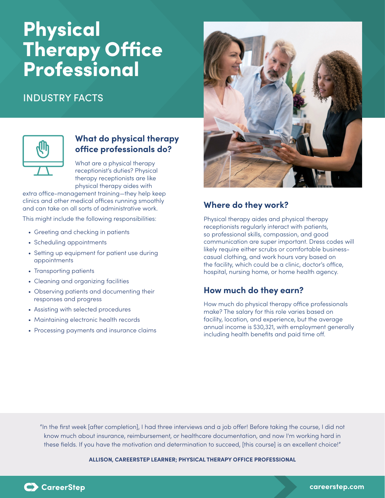# Physical Therapy Office Professional

# INDUSTRY FACTS



# **What do physical therapy office professionals do?**

What are a physical therapy receptionist's duties? Physical therapy receptionists are like physical therapy aides with

extra office-management training—they help keep clinics and other medical offices running smoothly and can take on all sorts of administrative work.

This might include the following responsibilities:

- Greeting and checking in patients
- Scheduling appointments
- Setting up equipment for patient use during appointments
- Transporting patients
- Cleaning and organizing facilities
- Observing patients and documenting their responses and progress
- Assisting with selected procedures
- Maintaining electronic health records
- Processing payments and insurance claims



# **Where do they work?**

Physical therapy aides and physical therapy receptionists regularly interact with patients, so professional skills, compassion, and good communication are super important. Dress codes will likely require either scrubs or comfortable businesscasual clothing, and work hours vary based on the facility, which could be a clinic, doctor's office, hospital, nursing home, or home health agency.

# **How much do they earn?**

How much do physical therapy office professionals make? The salary for this role varies based on facility, location, and experience, but the average annual income is \$30,321, with employment generally including health benefits and paid time off.

"In the first week [after completion], I had three interviews and a job offer! Before taking the course, I did not know much about insurance, reimbursement, or healthcare documentation, and now I'm working hard in these fields. If you have the motivation and determination to succeed, [this course] is an excellent choice!"

#### **ALLISON, CAREERSTEP LEARNER; PHYSICAL THERAPY OFFICE PROFESSIONAL**